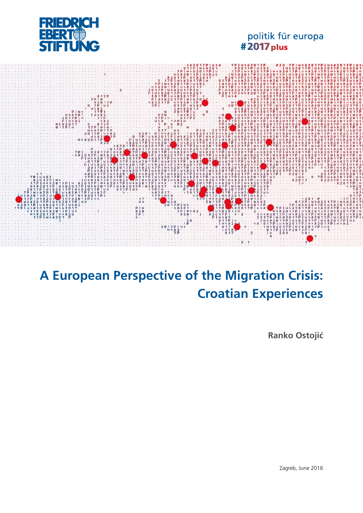

# politik für europa<br>#2017 plus



# **A European Perspective of the Migration Crisis: Croatian Experiences**

**Ranko Ostojić**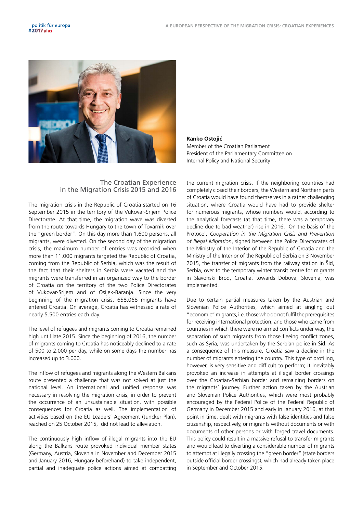

#### **Ranko Ostojić**

Member of the Croatian Parliament President of the Parliamentary Committee on Internal Policy and National Security

#### The Croatian Experience in the Migration Crisis 2015 and 2016

The migration crisis in the Republic of Croatia started on 16 September 2015 in the territory of the Vukovar-Srijem Police Directorate. At that time, the migration wave was diverted from the route towards Hungary to the town of Tovarnik over the "green border". On this day more than 1.600 persons, all migrants, were diverted. On the second day of the migration crisis, the maximum number of entries was recorded when more than 11.000 migrants targeted the Republic of Croatia, coming from the Republic of Serbia, which was the result of the fact that their shelters in Serbia were vacated and the migrants were transferred in an organized way to the border of Croatia on the territory of the two Police Directorates of Vukovar-Srijem and of Osijek-Baranja. Since the very beginning of the migration crisis, 658.068 migrants have entered Croatia. On average, Croatia has witnessed a rate of nearly 5.500 entries each day.

The level of refugees and migrants coming to Croatia remained high until late 2015. Since the beginning of 2016, the number of migrants coming to Croatia has noticeably declined to a rate of 500 to 2.000 per day, while on some days the number has increased up to 3.000.

The inflow of refugees and migrants along the Western Balkans route presented a challenge that was not solved at just the national level. An international and unified response was necessary in resolving the migration crisis, in order to prevent the occurrence of an unsustainable situation, with possible consequences for Croatia as well. The implementation of activities based on the EU Leaders' Agreement (Juncker Plan), reached on 25 October 2015, did not lead to alleviation.

The continuously high inflow of illegal migrants into the EU along the Balkans route provoked individual member states (Germany, Austria, Slovenia in November and December 2015 and January 2016, Hungary beforehand) to take independent, partial and inadequate police actions aimed at combatting

the current migration crisis. If the neighboring countries had completely closed their borders, the Western and Northern parts of Croatia would have found themselves in a rather challenging situation, where Croatia would have had to provide shelter for numerous migrants, whose numbers would, according to the analytical forecasts (at that time, there was a temporary decline due to bad weather) rise in 2016. On the basis of the Protocol, *Cooperation in the Migration Crisis and Prevention of Illegal Migration*, signed between the Police Directorates of the Ministry of the Interior of the Republic of Croatia and the Ministry of the Interior of the Republic of Serbia on 3 November 2015, the transfer of migrants from the railway station in Šid, Serbia, over to the temporary winter transit centre for migrants in Slavonski Brod, Croatia, towards Dobova, Slovenia, was implemented.

Due to certain partial measures taken by the Austrian and Slovenian Police Authorities, which aimed at singling out "economic" migrants, i.e. those who do not fulfil the prerequisites for receiving international protection, and those who came from countries in which there were no armed conflicts under way, the separation of such migrants from those fleeing conflict zones, such as Syria, was undertaken by the Serbian police in Šid. As a consequence of this measure, Croatia saw a decline in the number of migrants entering the country. This type of profiling, however, is very sensitive and difficult to perform; it inevitably provoked an increase in attempts at illegal border crossings over the Croatian-Serbian border and remaining borders on the migrants' journey. Further action taken by the Austrian and Slovenian Police Authorities, which were most probably encouraged by the Federal Police of the Federal Republic of Germany in December 2015 and early in January 2016, at that point in time, dealt with migrants with false identities and false citizenship, respectively, or migrants without documents or with documents of other persons or with forged travel documents. This policy could result in a massive refusal to transfer migrants and would lead to diverting a considerable number of migrants to attempt at illegally crossing the "green border" (state borders outside official border crossings), which had already taken place in September and October 2015.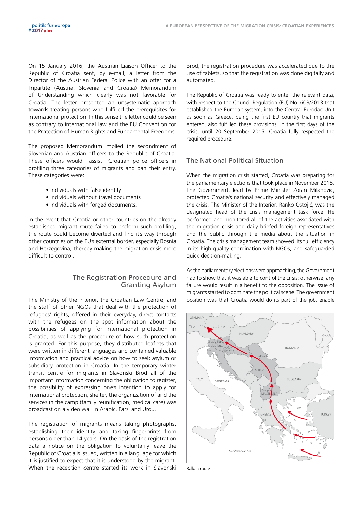On 15 January 2016, the Austrian Liaison Officer to the Republic of Croatia sent, by e-mail, a letter from the Director of the Austrian Federal Police with an offer for a Tripartite (Austria, Slovenia and Croatia) Memorandum of Understanding which clearly was not favorable for Croatia. The letter presented an unsystematic approach towards treating persons who fulfilled the prerequisites for international protection. In this sense the letter could be seen as contrary to international law and the EU Convention for the Protection of Human Rights and Fundamental Freedoms.

The proposed Memorandum implied the secondment of Slovenian and Austrian officers to the Republic of Croatia. These officers would "assist" Croatian police officers in profiling three categories of migrants and ban their entry. These categories were:

- Individuals with false identity
- Individuals without travel documents
- Individuals with forged documents.

In the event that Croatia or other countries on the already established migrant route failed to preform such profiling, the route could become diverted and find it's way through other countries on the EU's external border, especially Bosnia and Herzegovina, thereby making the migration crisis more difficult to control.

# The Registration Procedure and Granting Asylum

The Ministry of the Interior, the Croatian Law Centre, and the staff of other NGOs that deal with the protection of refugees' rights, offered in their everyday, direct contacts with the refugees on the spot information about the possibilities of applying for international protection in Croatia, as well as the procedure of how such protection is granted. For this purpose, they distributed leaflets that were written in different languages and contained valuable information and practical advice on how to seek asylum or subsidiary protection in Croatia. In the temporary winter transit centre for migrants in Slavonski Brod all of the important information concerning the obligation to register, the possibility of expressing one's intention to apply for international protection, shelter, the organization of and the services in the camp (family reunification, medical care) was broadcast on a video wall in Arabic, Farsi and Urdu.

The registration of migrants means taking photographs, establishing their identity and taking fingerprints from persons older than 14 years. On the basis of the registration data a notice on the obligation to voluntarily leave the Republic of Croatia is issued, written in a language for which it is justified to expect that it is understood by the migrant. When the reception centre started its work in Slavonski Brod, the registration procedure was accelerated due to the use of tablets, so that the registration was done digitally and automated.

The Republic of Croatia was ready to enter the relevant data, with respect to the Council Regulation (EU) No. 603/2013 that established the Eurodac system, into the Central Eurodac Unit as soon as Greece, being the first EU country that migrants entered, also fulfilled these provisions. In the first days of the crisis, until 20 September 2015, Croatia fully respected the required procedure.

# The National Political Situation

When the migration crisis started, Croatia was preparing for the parliamentary elections that took place in November 2015. The Government, lead by Prime Minister Zoran Milanović, protected Croatia's national security and effectively managed the crisis. The Minister of the Interior, Ranko Ostojić, was the designated head of the crisis management task force. He performed and monitored all of the activities associated with the migration crisis and daily briefed foreign representatives and the public through the media about the situation in Croatia. The crisis management team showed its full efficiency in its high-quality coordination with NGOs, and safeguarded quick decision-making.

As the parliamentary elections were approaching, the Government had to show that it was able to control the crisis; otherwise, any failure would result in a benefit to the opposition. The issue of migrants started to dominate the political scene. The government position was that Croatia would do its part of the job, enable